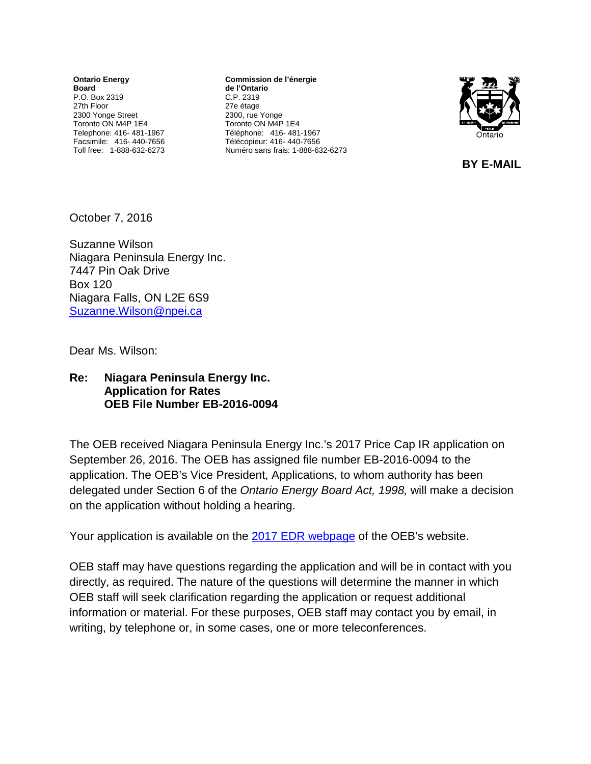**Ontario Energy Board** P.O. Box 2319 27th Floor 2300 Yonge Street Toronto ON M4P 1E4 Telephone: 416- 481-1967 Facsimile: 416- 440-7656 Toll free: 1-888-632-6273

**Commission de l'énergie de l'Ontario** C.P. 2319 27e étage 2300, rue Yonge Toronto ON M4P 1E4 Téléphone: 416- 481-1967 Télécopieur: 416- 440-7656 Numéro sans frais: 1-888-632-6273



 **BY E-MAIL** 

October 7, 2016

Suzanne Wilson Niagara Peninsula Energy Inc. 7447 Pin Oak Drive Box 120 Niagara Falls, ON L2E 6S9 [Suzanne.Wilson@npei.ca](mailto:Suzanne.Wilson@npei.ca)

Dear Ms. Wilson:

## **Re: Niagara Peninsula Energy Inc. Application for Rates OEB File Number EB-2016-0094**

The OEB received Niagara Peninsula Energy Inc.'s 2017 Price Cap IR application on September 26, 2016. The OEB has assigned file number EB-2016-0094 to the application. The OEB's Vice President, Applications, to whom authority has been delegated under Section 6 of the *Ontario Energy Board Act, 1998,* will make a decision on the application without holding a hearing.

Your application is available on the 2017 [EDR webpage](http://www.ontarioenergyboard.ca/oeb/Industry/Regulatory%20Proceedings/Applications%20Before%20the%20Board/Electricity%20Distribution%20Rates/2017%20Electricity%20Distribution%20Rate%20Applications) of the OEB's website.

OEB staff may have questions regarding the application and will be in contact with you directly, as required. The nature of the questions will determine the manner in which OEB staff will seek clarification regarding the application or request additional information or material. For these purposes, OEB staff may contact you by email, in writing, by telephone or, in some cases, one or more teleconferences.